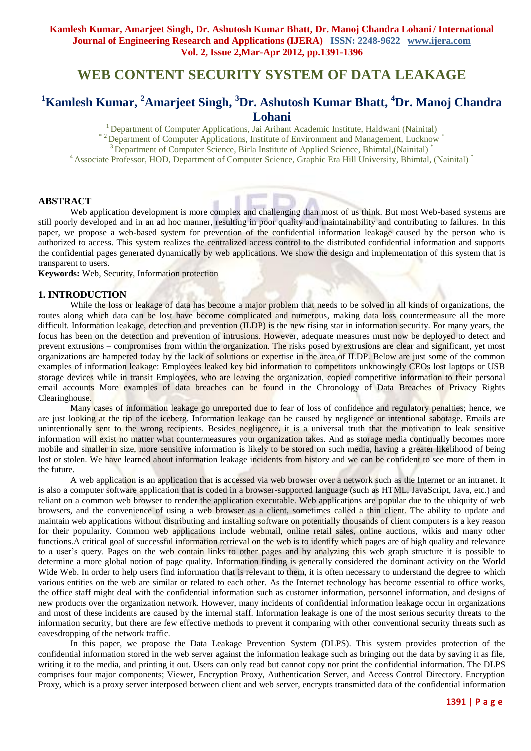# **WEB CONTENT SECURITY SYSTEM OF DATA LEAKAGE**

## **<sup>1</sup>Kamlesh Kumar, <sup>2</sup>Amarjeet Singh, <sup>3</sup>Dr. Ashutosh Kumar Bhatt, <sup>4</sup>Dr. Manoj Chandra Lohani**

<sup>1</sup> Department of Computer Applications, Jai Arihant Academic Institute, Haldwani (Nainital)

\*<sup>2</sup> Department of Computer Applications, Institute of Environment and Management, Lucknow

<sup>3</sup> Department of Computer Science, Birla Institute of Applied Science, Bhimtal, (Nainital)<sup>\*</sup>

<sup>4</sup> Associate Professor, HOD, Department of Computer Science, Graphic Era Hill University, Bhimtal, (Nainital) \*

## **ABSTRACT**

Web application development is more complex and challenging than most of us think. But most Web-based systems are still poorly developed and in an ad hoc manner, resulting in poor quality and maintainability and contributing to failures. In this paper, we propose a web-based system for prevention of the confidential information leakage caused by the person who is authorized to access. This system realizes the centralized access control to the distributed confidential information and supports the confidential pages generated dynamically by web applications. We show the design and implementation of this system that is transparent to users.

**Keywords:** Web, Security, Information protection

#### **1. INTRODUCTION**

While the loss or leakage of data has become a major problem that needs to be solved in all kinds of organizations, the routes along which data can be lost have become complicated and numerous, making data loss countermeasure all the more difficult. Information leakage, detection and prevention (ILDP) is the new rising star in information security. For many years, the focus has been on the detection and prevention of intrusions. However, adequate measures must now be deployed to detect and prevent extrusions – compromises from within the organization. The risks posed by extrusions are clear and significant, yet most organizations are hampered today by the lack of solutions or expertise in the area of ILDP. Below are just some of the common examples of information leakage: Employees leaked key bid information to competitors unknowingly CEOs lost laptops or USB storage devices while in transit Employees, who are leaving the organization, copied competitive information to their personal email accounts More examples of data breaches can be found in the Chronology of Data Breaches of Privacy Rights Clearinghouse.

Many cases of information leakage go unreported due to fear of loss of confidence and regulatory penalties; hence, we are just looking at the tip of the iceberg. Information leakage can be caused by negligence or intentional sabotage. Emails are unintentionally sent to the wrong recipients. Besides negligence, it is a universal truth that the motivation to leak sensitive information will exist no matter what countermeasures your organization takes. And as storage media continually becomes more mobile and smaller in size, more sensitive information is likely to be stored on such media, having a greater likelihood of being lost or stolen. We have learned about information leakage incidents from history and we can be confident to see more of them in the future.

A web application is an application that is accessed via web browser over a network such as the Internet or an intranet. It is also a computer software application that is coded in a browser-supported language (such as HTML, JavaScript, Java, etc.) and reliant on a common web browser to render the application executable. Web applications are popular due to the ubiquity of web browsers, and the convenience of using a web browser as a client, sometimes called a thin client. The ability to update and maintain web applications without distributing and installing software on potentially thousands of client computers is a key reason for their popularity. Common web applications include webmail, online retail sales, online auctions, wikis and many other functions.A critical goal of successful information retrieval on the web is to identify which pages are of high quality and relevance to a user's query. Pages on the web contain links to other pages and by analyzing this web graph structure it is possible to determine a more global notion of page quality. Information finding is generally considered the dominant activity on the World Wide Web. In order to help users find information that is relevant to them, it is often necessary to understand the degree to which various entities on the web are similar or related to each other. As the Internet technology has become essential to office works, the office staff might deal with the confidential information such as customer information, personnel information, and designs of new products over the organization network. However, many incidents of confidential information leakage occur in organizations and most of these incidents are caused by the internal staff. Information leakage is one of the most serious security threats to the information security, but there are few effective methods to prevent it comparing with other conventional security threats such as eavesdropping of the network traffic.

In this paper, we propose the Data Leakage Prevention System (DLPS). This system provides protection of the confidential information stored in the web server against the information leakage such as bringing out the data by saving it as file, writing it to the media, and printing it out. Users can only read but cannot copy nor print the confidential information. The DLPS comprises four major components; Viewer, Encryption Proxy, Authentication Server, and Access Control Directory. Encryption Proxy, which is a proxy server interposed between client and web server, encrypts transmitted data of the confidential information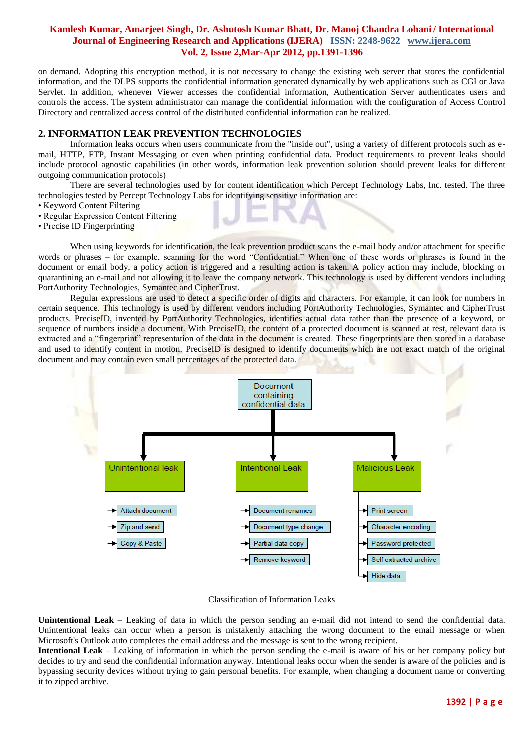on demand. Adopting this encryption method, it is not necessary to change the existing web server that stores the confidential information, and the DLPS supports the confidential information generated dynamically by web applications such as CGI or Java Servlet. In addition, whenever Viewer accesses the confidential information, Authentication Server authenticates users and controls the access. The system administrator can manage the confidential information with the configuration of Access Control Directory and centralized access control of the distributed confidential information can be realized.

## **2. INFORMATION LEAK PREVENTION TECHNOLOGIES**

Information leaks occurs when users communicate from the "inside out", using a variety of different protocols such as email, HTTP, FTP, Instant Messaging or even when printing confidential data. Product requirements to prevent leaks should include protocol agnostic capabilities (in other words, information leak prevention solution should prevent leaks for different outgoing communication protocols)

There are several technologies used by for content identification which Percept Technology Labs, Inc. tested. The three technologies tested by Percept Technology Labs for identifying sensitive information are:

- Keyword Content Filtering
- Regular Expression Content Filtering
- Precise ID Fingerprinting

When using keywords for identification, the leak prevention product scans the  $e$ -mail body and/or attachment for specific words or phrases – for example, scanning for the word "Confidential." When one of these words or phrases is found in the document or email body, a policy action is triggered and a resulting action is taken. A policy action may include, blocking or quarantining an e-mail and not allowing it to leave the company network. This technology is used by different vendors including PortAuthority Technologies, Symantec and CipherTrust.

Regular expressions are used to detect a specific order of digits and characters. For example, it can look for numbers in certain sequence. This technology is used by different vendors including PortAuthority Technologies, Symantec and CipherTrust products. PreciseID, invented by PortAuthority Technologies, identifies actual data rather than the presence of a keyword, or sequence of numbers inside a document. With PreciseID, the content of a protected document is scanned at rest, relevant data is extracted and a "fingerprint" representation of the data in the document is created. These fingerprints are then stored in a database and used to identify content in motion. PreciseID is designed to identify documents which are not exact match of the original document and may contain even small percentages of the protected data.



Classification of Information Leaks

**Unintentional Leak** – Leaking of data in which the person sending an e-mail did not intend to send the confidential data. Unintentional leaks can occur when a person is mistakenly attaching the wrong document to the email message or when Microsoft's Outlook auto completes the email address and the message is sent to the wrong recipient.

**Intentional Leak** – Leaking of information in which the person sending the e-mail is aware of his or her company policy but decides to try and send the confidential information anyway. Intentional leaks occur when the sender is aware of the policies and is bypassing security devices without trying to gain personal benefits. For example, when changing a document name or converting it to zipped archive.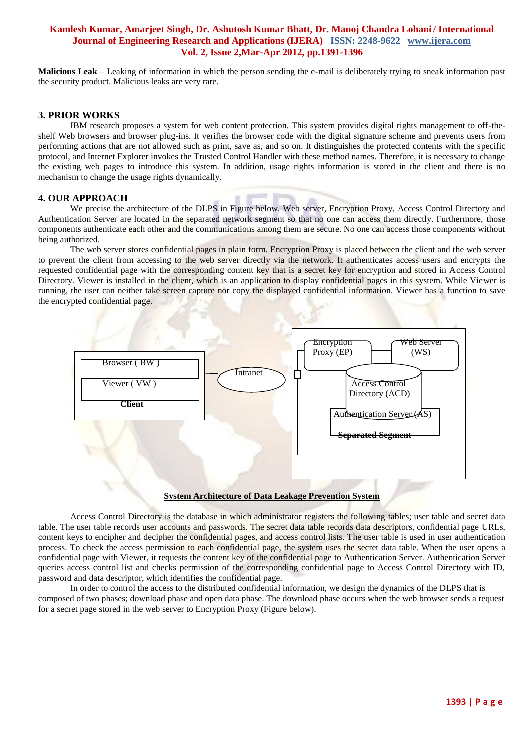**Malicious Leak** – Leaking of information in which the person sending the e-mail is deliberately trying to sneak information past the security product. Malicious leaks are very rare.

## **3. PRIOR WORKS**

IBM research proposes a system for web content protection. This system provides digital rights management to off-theshelf Web browsers and browser plug-ins. It verifies the browser code with the digital signature scheme and prevents users from performing actions that are not allowed such as print, save as, and so on. It distinguishes the protected contents with the specific protocol, and Internet Explorer invokes the Trusted Control Handler with these method names. Therefore, it is necessary to change the existing web pages to introduce this system. In addition, usage rights information is stored in the client and there is no mechanism to change the usage rights dynamically.

#### **4. OUR APPROACH**

We precise the architecture of the DLPS in Figure below. Web server, Encryption Proxy, Access Control Directory and Authentication Server are located in the separated network segment so that no one can access them directly. Furthermore, those components authenticate each other and the communications among them are secure. No one can access those components without being authorized.

The web server stores confidential pages in plain form. Encryption Proxy is placed between the client and the web server to prevent the client from accessing to the web server directly via the network. It authenticates access users and encrypts the requested confidential page with the corresponding content key that is a secret key for encryption and stored in Access Control Directory. Viewer is installed in the client, which is an application to display confidential pages in this system. While Viewer is running, the user can neither take screen capture nor copy the displayed confidential information. Viewer has a function to save the encrypted confidential page.



#### **System Architecture of Data Leakage Prevention System**

Access Control Directory is the database in which administrator registers the following tables; user table and secret data table. The user table records user accounts and passwords. The secret data table records data descriptors, confidential page URLs, content keys to encipher and decipher the confidential pages, and access control lists. The user table is used in user authentication process. To check the access permission to each confidential page, the system uses the secret data table. When the user opens a confidential page with Viewer, it requests the content key of the confidential page to Authentication Server. Authentication Server queries access control list and checks permission of the corresponding confidential page to Access Control Directory with ID, password and data descriptor, which identifies the confidential page.

In order to control the access to the distributed confidential information, we design the dynamics of the DLPS that is composed of two phases; download phase and open data phase. The download phase occurs when the web browser sends a request for a secret page stored in the web server to Encryption Proxy (Figure below).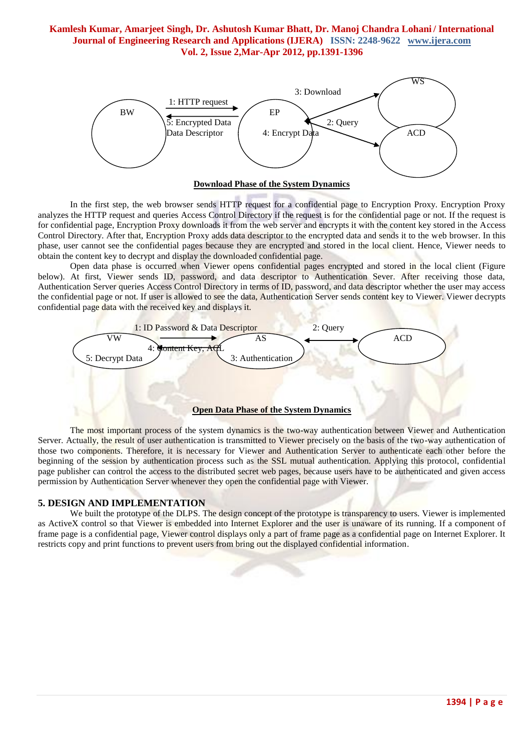



In the first step, the web browser sends HTTP request for a confidential page to Encryption Proxy. Encryption Proxy analyzes the HTTP request and queries Access Control Directory if the request is for the confidential page or not. If the request is for confidential page, Encryption Proxy downloads it from the web server and encrypts it with the content key stored in the Access Control Directory. After that, Encryption Proxy adds data descriptor to the encrypted data and sends it to the web browser. In this phase, user cannot see the confidential pages because they are encrypted and stored in the local client. Hence, Viewer needs to obtain the content key to decrypt and display the downloaded confidential page.

Open data phase is occurred when Viewer opens confidential pages encrypted and stored in the local client (Figure below). At first, Viewer sends ID, password, and data descriptor to Authentication Sever. After receiving those data, Authentication Server queries Access Control Directory in terms of ID, password, and data descriptor whether the user may access the confidential page or not. If user is allowed to see the data, Authentication Server sends content key to Viewer. Viewer decrypts confidential page data with the received key and displays it.



The most important process of the system dynamics is the two-way authentication between Viewer and Authentication Server. Actually, the result of user authentication is transmitted to Viewer precisely on the basis of the two-way authentication of those two components. Therefore, it is necessary for Viewer and Authentication Server to authenticate each other before the beginning of the session by authentication process such as the SSL mutual authentication. Applying this protocol, confidential page publisher can control the access to the distributed secret web pages, because users have to be authenticated and given access permission by Authentication Server whenever they open the confidential page with Viewer.

## **5. DESIGN AND IMPLEMENTATION**

We built the prototype of the DLPS. The design concept of the prototype is transparency to users. Viewer is implemented as ActiveX control so that Viewer is embedded into Internet Explorer and the user is unaware of its running. If a component of frame page is a confidential page, Viewer control displays only a part of frame page as a confidential page on Internet Explorer. It restricts copy and print functions to prevent users from bring out the displayed confidential information.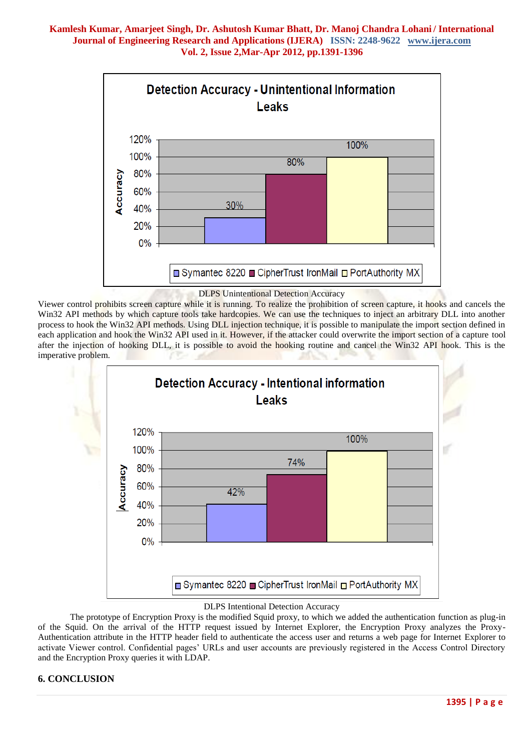

#### DLPS Unintentional Detection Accuracy

Viewer control prohibits screen capture while it is running. To realize the prohibition of screen capture, it hooks and cancels the Win32 API methods by which capture tools take hardcopies. We can use the techniques to inject an arbitrary DLL into another process to hook the Win32 API methods. Using DLL injection technique, it is possible to manipulate the import section defined in each application and hook the Win32 API used in it. However, if the attacker could overwrite the import section of a capture tool after the injection of hooking DLL, it is possible to avoid the hooking routine and cancel the Win32 API hook. This is the imperative problem.



#### DLPS Intentional Detection Accuracy

The prototype of Encryption Proxy is the modified Squid proxy, to which we added the authentication function as plug-in of the Squid. On the arrival of the HTTP request issued by Internet Explorer, the Encryption Proxy analyzes the Proxy-Authentication attribute in the HTTP header field to authenticate the access user and returns a web page for Internet Explorer to activate Viewer control. Confidential pages' URLs and user accounts are previously registered in the Access Control Directory and the Encryption Proxy queries it with LDAP.

#### **6. CONCLUSION**